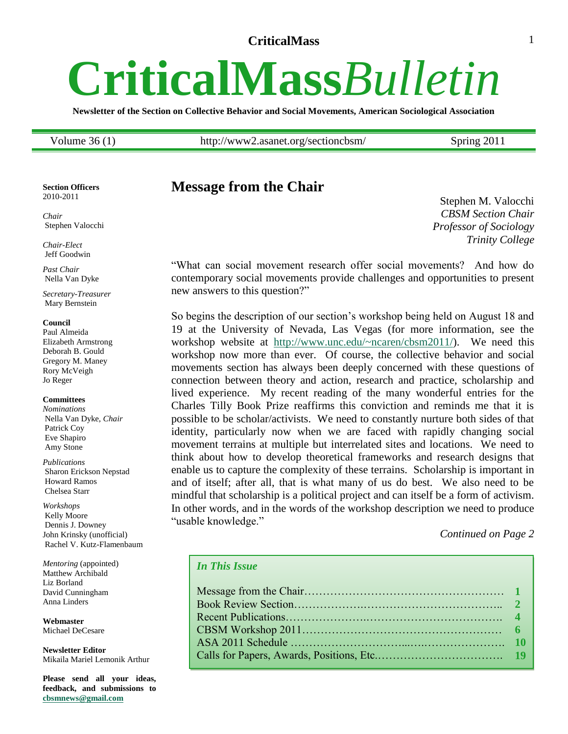# <span id="page-0-0"></span>**CriticalMass***Bulletin*

**Newsletter of the Section on Collective Behavior and Social Movements, American Sociological Association**

Volume 36 (1) http://www2.asanet.org/sectioncbsm/ Spring 2011

#### **Section Officers** 2010-2011

*Chair* Stephen Valocchi

*Chair-Elect* Jeff Goodwin

*Past Chair* Nella Van Dyke

*Secretary-Treasurer* Mary Bernstein

#### **Council**

Paul Almeida Elizabeth Armstrong Deborah B. Gould Gregory M. Maney Rory McVeigh Jo Reger

#### **Committees**

*Nominations* Nella Van Dyke, *Chair* Patrick Coy Eve Shapiro Amy Stone

*Publications* Sharon Erickson Nepstad Howard Ramos Chelsea Starr

*Workshops* Kelly Moore Dennis J. Downey John Krinsky (unofficial) Rachel V. Kutz-Flamenbaum

*Mentoring* (appointed) Matthew Archibald Liz Borland David Cunningham Anna Linders

**Webmaster** Michael DeCesare

**Newsletter Editor** Mikaila Mariel Lemonik Arthur

**Please send all your ideas, feedback, and submissions to [cbsmnews@gmail.com](mailto:cbsmnews@gmail.com)**

# **Message from the Chair**

Stephen M. Valocchi *CBSM Section Chair Professor of Sociology Trinity College*

―What can social movement research offer social movements? And how do contemporary social movements provide challenges and opportunities to present new answers to this question?"

So begins the description of our section's workshop being held on August 18 and 19 at the University of Nevada, Las Vegas (for more information, see the workshop website at [http://www.unc.edu/~ncaren/cbsm2011/\)](http://www.unc.edu/~ncaren/cbsm2011/). We need this workshop now more than ever. Of course, the collective behavior and social movements section has always been deeply concerned with these questions of connection between theory and action, research and practice, scholarship and lived experience. My recent reading of the many wonderful entries for the Charles Tilly Book Prize reaffirms this conviction and reminds me that it is possible to be scholar/activists. We need to constantly nurture both sides of that identity, particularly now when we are faced with rapidly changing social movement terrains at multiple but interrelated sites and locations. We need to think about how to develop theoretical frameworks and research designs that enable us to capture the complexity of these terrains. Scholarship is important in and of itself; after all, that is what many of us do best. We also need to be mindful that scholarship is a political project and can itself be a form of activism. In other words, and in the words of the workshop description we need to produce "usable knowledge."

*Continued on Page 2*

#### *In This Issue*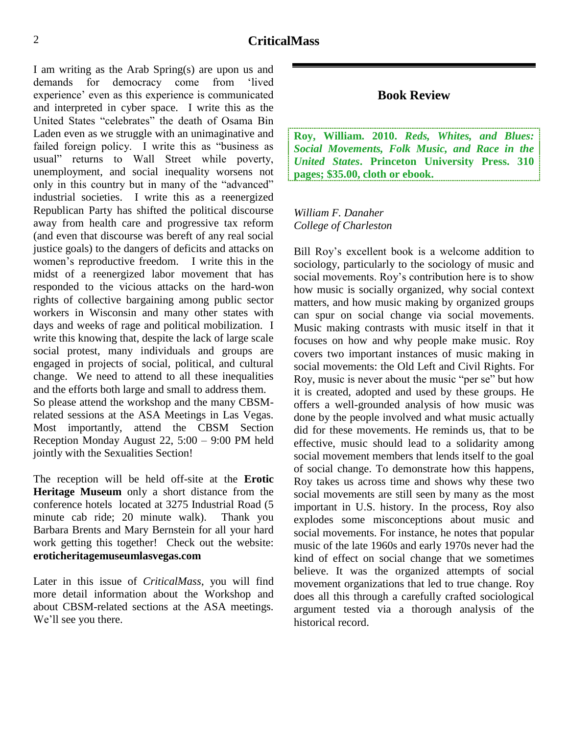I am writing as the Arab Spring(s) are upon us and demands for democracy come from 'lived experience' even as this experience is communicated and interpreted in cyber space. I write this as the United States "celebrates" the death of Osama Bin Laden even as we struggle with an unimaginative and failed foreign policy. I write this as "business as usual" returns to Wall Street while poverty, unemployment, and social inequality worsens not only in this country but in many of the "advanced" industrial societies. I write this as a reenergized Republican Party has shifted the political discourse away from health care and progressive tax reform (and even that discourse was bereft of any real social justice goals) to the dangers of deficits and attacks on women's reproductive freedom. I write this in the midst of a reenergized labor movement that has responded to the vicious attacks on the hard-won rights of collective bargaining among public sector workers in Wisconsin and many other states with days and weeks of rage and political mobilization. I write this knowing that, despite the lack of large scale social protest, many individuals and groups are engaged in projects of social, political, and cultural change. We need to attend to all these inequalities and the efforts both large and small to address them. So please attend the workshop and the many CBSMrelated sessions at the ASA Meetings in Las Vegas. Most importantly, attend the CBSM Section Reception Monday August 22, 5:00 – 9:00 PM held jointly with the Sexualities Section!

The reception will be held off-site at the **Erotic Heritage Museum** only a short distance from the conference hotels located at 3275 Industrial Road (5 minute cab ride; 20 minute walk). Thank you Barbara Brents and Mary Bernstein for all your hard work getting this together! Check out the website: **eroticheritagemuseumlasvegas.com**

Later in this issue of *CriticalMass*, you will find more detail information about the Workshop and about CBSM-related sections at the ASA meetings. We'll see you there.

#### **Book Review**

<span id="page-1-0"></span>**Roy, William. 2010.** *Reds, Whites, and Blues: Social Movements, Folk Music, and Race in the United States***. Princeton University Press. 310 pages; \$35.00, cloth or ebook.**

*William F. Danaher College of Charleston*

Bill Roy's excellent book is a welcome addition to sociology, particularly to the sociology of music and social movements. Roy's contribution here is to show how music is socially organized, why social context matters, and how music making by organized groups can spur on social change via social movements. Music making contrasts with music itself in that it focuses on how and why people make music. Roy covers two important instances of music making in social movements: the Old Left and Civil Rights. For Roy, music is never about the music "per se" but how it is created, adopted and used by these groups. He offers a well-grounded analysis of how music was done by the people involved and what music actually did for these movements. He reminds us, that to be effective, music should lead to a solidarity among social movement members that lends itself to the goal of social change. To demonstrate how this happens, Roy takes us across time and shows why these two social movements are still seen by many as the most important in U.S. history. In the process, Roy also explodes some misconceptions about music and social movements. For instance, he notes that popular music of the late 1960s and early 1970s never had the kind of effect on social change that we sometimes believe. It was the organized attempts of social movement organizations that led to true change. Roy does all this through a carefully crafted sociological argument tested via a thorough analysis of the historical record.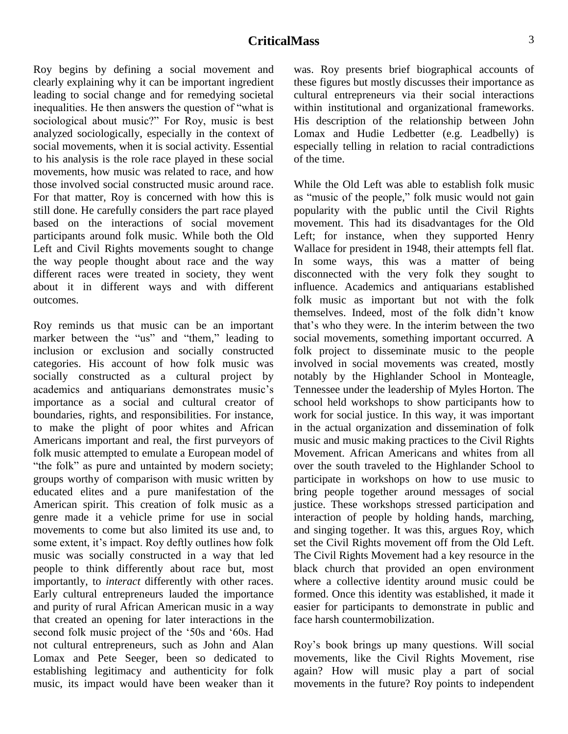Roy begins by defining a social movement and clearly explaining why it can be important ingredient leading to social change and for remedying societal inequalities. He then answers the question of "what is sociological about music?" For Roy, music is best analyzed sociologically, especially in the context of social movements, when it is social activity. Essential to his analysis is the role race played in these social movements, how music was related to race, and how those involved social constructed music around race. For that matter, Roy is concerned with how this is still done. He carefully considers the part race played based on the interactions of social movement participants around folk music. While both the Old Left and Civil Rights movements sought to change the way people thought about race and the way different races were treated in society, they went about it in different ways and with different outcomes.

Roy reminds us that music can be an important marker between the "us" and "them," leading to inclusion or exclusion and socially constructed categories. His account of how folk music was socially constructed as a cultural project by academics and antiquarians demonstrates music's importance as a social and cultural creator of boundaries, rights, and responsibilities. For instance, to make the plight of poor whites and African Americans important and real, the first purveyors of folk music attempted to emulate a European model of "the folk" as pure and untainted by modern society; groups worthy of comparison with music written by educated elites and a pure manifestation of the American spirit. This creation of folk music as a genre made it a vehicle prime for use in social movements to come but also limited its use and, to some extent, it's impact. Roy deftly outlines how folk music was socially constructed in a way that led people to think differently about race but, most importantly, to *interact* differently with other races. Early cultural entrepreneurs lauded the importance and purity of rural African American music in a way that created an opening for later interactions in the second folk music project of the '50s and '60s. Had not cultural entrepreneurs, such as John and Alan Lomax and Pete Seeger, been so dedicated to establishing legitimacy and authenticity for folk music, its impact would have been weaker than it was. Roy presents brief biographical accounts of these figures but mostly discusses their importance as cultural entrepreneurs via their social interactions within institutional and organizational frameworks. His description of the relationship between John Lomax and Hudie Ledbetter (e.g. Leadbelly) is especially telling in relation to racial contradictions of the time.

While the Old Left was able to establish folk music as "music of the people," folk music would not gain popularity with the public until the Civil Rights movement. This had its disadvantages for the Old Left; for instance, when they supported Henry Wallace for president in 1948, their attempts fell flat. In some ways, this was a matter of being disconnected with the very folk they sought to influence. Academics and antiquarians established folk music as important but not with the folk themselves. Indeed, most of the folk didn't know that's who they were. In the interim between the two social movements, something important occurred. A folk project to disseminate music to the people involved in social movements was created, mostly notably by the Highlander School in Monteagle, Tennessee under the leadership of Myles Horton. The school held workshops to show participants how to work for social justice. In this way, it was important in the actual organization and dissemination of folk music and music making practices to the Civil Rights Movement. African Americans and whites from all over the south traveled to the Highlander School to participate in workshops on how to use music to bring people together around messages of social justice. These workshops stressed participation and interaction of people by holding hands, marching, and singing together. It was this, argues Roy, which set the Civil Rights movement off from the Old Left. The Civil Rights Movement had a key resource in the black church that provided an open environment where a collective identity around music could be formed. Once this identity was established, it made it easier for participants to demonstrate in public and face harsh countermobilization.

Roy's book brings up many questions. Will social movements, like the Civil Rights Movement, rise again? How will music play a part of social movements in the future? Roy points to independent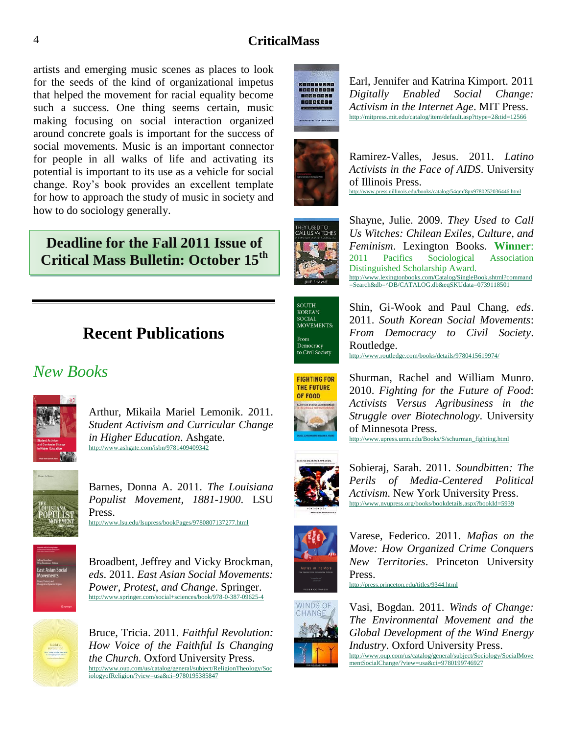artists and emerging music scenes as places to look for the seeds of the kind of organizational impetus that helped the movement for racial equality become such a success. One thing seems certain, music making focusing on social interaction organized around concrete goals is important for the success of social movements. Music is an important connector for people in all walks of life and activating its potential is important to its use as a vehicle for social change. Roy's book provides an excellent template for how to approach the study of music in society and how to do sociology generally.

# **Deadline for the Fall 2011 Issue of Critical Mass Bulletin: October 15th**

# **Recent Publications**

# <span id="page-3-0"></span>*New Books*



Arthur, Mikaila Mariel Lemonik. 2011. *Student Activism and Curricular Change in Higher Education*. Ashgate. <http://www.ashgate.com/isbn/9781409409342>



Barnes, Donna A. 2011. *The Louisiana Populist Movement, 1881-1900*. LSU Press. <http://www.lsu.edu/lsupress/bookPages/9780807137277.html>



Broadbent, Jeffrey and Vicky Brockman, *eds*. 2011. *East Asian Social Movements: Power, Protest, and Change*. Springer. <http://www.springer.com/social+sciences/book/978-0-387-09625-4>



Bruce, Tricia. 2011. *Faithful Revolution: How Voice of the Faithful Is Changing the Church.* Oxford University Press. [http://www.oup.com/us/catalog/general/subject/ReligionTheology/Soc](http://www.oup.com/us/catalog/general/subject/ReligionTheology/SociologyofReligion/?view=usa&ci=9780195385847) [iologyofReligion/?view=usa&ci=9780195385847](http://www.oup.com/us/catalog/general/subject/ReligionTheology/SociologyofReligion/?view=usa&ci=9780195385847)



Earl, Jennifer and Katrina Kimport. 2011 *Digitally Enabled Social Change: Activism in the Internet Age*. MIT Press. <http://mitpress.mit.edu/catalog/item/default.asp?ttype=2&tid=12566>



Ramirez-Valles, Jesus. 2011. *Latino Activists in the Face of AIDS*. University of Illinois Press. <http://www.press.uillinois.edu/books/catalog/54qmf8px9780252036446.html>



Shayne, Julie. 2009. *They Used to Call Us Witches: Chilean Exiles, Culture, and Feminism*. Lexington Books. **Winner**: 2011 Pacifics Sociological Association Distinguished Scholarship Award. [http://www.lexingtonbooks.com/Catalog/SingleBook.shtml?command](http://www.lexingtonbooks.com/Catalog/SingleBook.shtml?command=Search&db=%5eDB/CATALOG.db&eqSKUdata=0739118501) [=Search&db=^DB/CATALOG.db&eqSKUdata=0739118501](http://www.lexingtonbooks.com/Catalog/SingleBook.shtml?command=Search&db=%5eDB/CATALOG.db&eqSKUdata=0739118501)

| <b>SOUTH</b>      |
|-------------------|
| <b>KOREAN</b>     |
| <b>SOCIAL</b>     |
| <b>MOVEMENTS:</b> |
|                   |
| From              |
| Democracy         |
| to Civil Society  |

Shin, Gi-Wook and Paul Chang, *eds*. 2011. *South Korean Social Movements*: *From Democracy to Civil Society*. Routledge. <http://www.routledge.com/books/details/9780415619974/>

**FIGHTING FOR** THE FUTURE OF FOOD

Shurman, Rachel and William Munro. 2010. *Fighting for the Future of Food*: *Activists Versus Agribusiness in the Struggle over Biotechnology*. University of Minnesota Press. [http://www.upress.umn.edu/Books/S/schurman\\_fighting.html](http://www.upress.umn.edu/Books/S/schurman_fighting.html)



Sobieraj, Sarah. 2011. *Soundbitten: The Perils of Media-Centered Political Activism*. New York University Press. <http://www.nyupress.org/books/bookdetails.aspx?bookId=5939>



Varese, Federico. 2011. *Mafias on the Move: How Organized Crime Conquers New Territories*. Princeton University Press.

<http://press.princeton.edu/titles/9344.html>



Vasi, Bogdan. 2011. *Winds of Change: The Environmental Movement and the Global Development of the Wind Energy Industry*. Oxford University Press. [http://www.oup.com/us/catalog/general/subject/Sociology/SocialMove](http://www.oup.com/us/catalog/general/subject/Sociology/SocialMovementSocialChange/?view=usa&ci=9780199746927) [mentSocialChange/?view=usa&ci=9780199746927](http://www.oup.com/us/catalog/general/subject/Sociology/SocialMovementSocialChange/?view=usa&ci=9780199746927)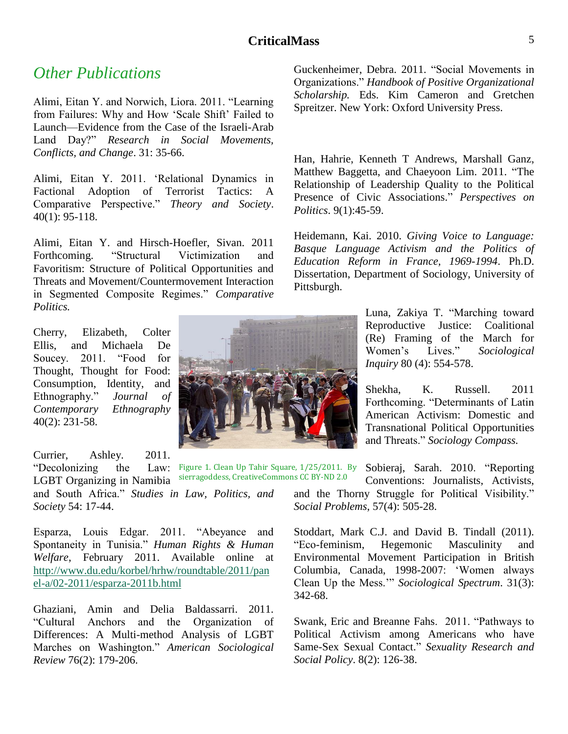# *Other Publications*

Alimi, Eitan Y. and Norwich, Liora. 2011. "Learning from Failures: Why and How 'Scale Shift' Failed to Launch—Evidence from the Case of the Israeli-Arab Land Day?" *Research in Social Movements, Conflicts, and Change*. 31: 35-66.

Alimi, Eitan Y. 2011. 'Relational Dynamics in Factional Adoption of Terrorist Tactics: A Comparative Perspective." *Theory and Society*. 40(1): 95-118.

Alimi, Eitan Y. and Hirsch-Hoefler, Sivan. 2011 Forthcoming. "Structural Victimization and Favoritism: Structure of Political Opportunities and Threats and Movement/Countermovement Interaction in Segmented Composite Regimes." Comparative *Politics.*

Cherry, Elizabeth, Colter Ellis, and Michaela De Soucey. 2011. "Food for Thought, Thought for Food: Consumption, Identity, and Ethnography.‖ *Journal of Contemporary Ethnography* 40(2): 231-58.

Currier, Ashley. 2011.

―Decolonizing the Law: LGBT Organizing in Namibia and South Africa.‖ *Studies in Law, Politics, and Society* 54: 17-44. sierragoddess, CreativeCommons CC BY-ND 2.0

Esparza, Louis Edgar. 2011. "Abeyance and Spontaneity in Tunisia." Human Rights & Human *Welfare*, February 2011. Available online at [http://www.du.edu/korbel/hrhw/roundtable/2011/pan](http://www.du.edu/korbel/hrhw/roundtable/2011/panel-a/02-2011/esparza-2011b.html) [el-a/02-2011/esparza-2011b.html](http://www.du.edu/korbel/hrhw/roundtable/2011/panel-a/02-2011/esparza-2011b.html)

Ghaziani, Amin and Delia Baldassarri. 2011. ―Cultural Anchors and the Organization of Differences: A Multi-method Analysis of LGBT Marches on Washington.‖ *American Sociological Review* 76(2): 179-206.

Guckenheimer, Debra. 2011. "Social Movements in Organizations.‖ *Handbook of Positive Organizational Scholarship.* Eds. Kim Cameron and Gretchen Spreitzer. New York: Oxford University Press.

Han, Hahrie, Kenneth T Andrews, Marshall Ganz, Matthew Baggetta, and Chaeyoon Lim. 2011. "The Relationship of Leadership Quality to the Political Presence of Civic Associations." Perspectives on *Politics*. 9(1):45-59.

Heidemann, Kai. 2010. *Giving Voice to Language: Basque Language Activism and the Politics of Education Reform in France, 1969-1994*. Ph.D. Dissertation, Department of Sociology, University of Pittsburgh.

> Luna, Zakiya T. "Marching toward Reproductive Justice: Coalitional (Re) Framing of the March for Women's Lives.‖ *Sociological Inquiry* 80 (4): 554-578.

> Shekha, K. Russell. 2011 Forthcoming. "Determinants of Latin American Activism: Domestic and Transnational Political Opportunities and Threats." Sociology Compass.

Sobieraj, Sarah. 2010. "Reporting Conventions: Journalists, Activists, and the Thorny Struggle for Political Visibility." *Social Problems*, 57(4): 505-28. Figure 1. Clean Up Tahir Square, 1/25/2011. By

> Stoddart, Mark C.J. and David B. Tindall (2011). ―Eco-feminism, Hegemonic Masculinity and Environmental Movement Participation in British Columbia, Canada, 1998-2007: ‗Women always Clean Up the Mess." *Sociological Spectrum*. 31(3): 342-68.

> Swank, Eric and Breanne Fahs. 2011. "Pathways to Political Activism among Americans who have Same-Sex Sexual Contact." Sexuality Research and *Social Policy*. 8(2): 126-38.

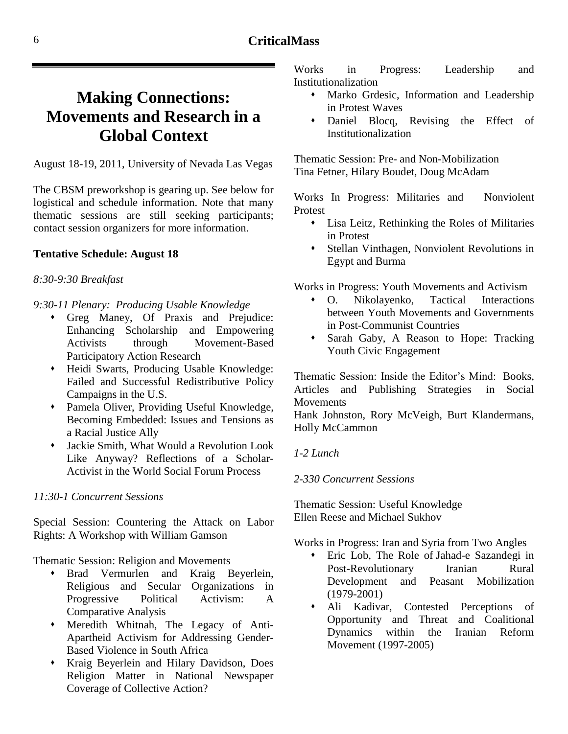# <span id="page-5-0"></span>**Making Connections: Movements and Research in a Global Context**

August 18-19, 2011, University of Nevada Las Vegas

The CBSM preworkshop is gearing up. See below for logistical and schedule information. Note that many thematic sessions are still seeking participants; contact session organizers for more information.

#### **Tentative Schedule: August 18**

#### *8:30-9:30 Breakfast*

*9:30-11 Plenary: Producing Usable Knowledge*

- Greg Maney, Of Praxis and Prejudice: Enhancing Scholarship and Empowering Activists through Movement-Based Participatory Action Research
- Heidi Swarts, Producing Usable Knowledge: Failed and Successful Redistributive Policy Campaigns in the U.S.
- Pamela Oliver, Providing Useful Knowledge, Becoming Embedded: Issues and Tensions as a Racial Justice Ally
- Jackie Smith, What Would a Revolution Look Like Anyway? Reflections of a Scholar-Activist in the World Social Forum Process

#### *11:30-1 Concurrent Sessions*

Special Session: Countering the Attack on Labor Rights: A Workshop with William Gamson

Thematic Session: Religion and Movements

- Brad Vermurlen and Kraig Beyerlein, Religious and Secular Organizations in Progressive Political Activism: A Comparative Analysis
- Meredith Whitnah, The Legacy of Anti-Apartheid Activism for Addressing Gender-Based Violence in South Africa
- Kraig Beyerlein and Hilary Davidson, Does Religion Matter in National Newspaper Coverage of Collective Action?

Works in Progress: Leadership and Institutionalization

- Marko Grdesic, Information and Leadership in Protest Waves
- Daniel Blocq, Revising the Effect of Institutionalization

Thematic Session: Pre- and Non-Mobilization Tina Fetner, Hilary Boudet, Doug McAdam

Works In Progress: Militaries and Nonviolent Protest

- Lisa Leitz, Rethinking the Roles of Militaries in Protest
- Stellan Vinthagen, Nonviolent Revolutions in Egypt and Burma

Works in Progress: Youth Movements and Activism

- O. Nikolayenko, Tactical Interactions between Youth Movements and Governments in Post-Communist Countries
- Sarah Gaby, A Reason to Hope: Tracking Youth Civic Engagement

Thematic Session: Inside the Editor's Mind: Books, Articles and Publishing Strategies in Social Movements

Hank Johnston, Rory McVeigh, Burt Klandermans, Holly McCammon

#### *1-2 Lunch*

#### *2-330 Concurrent Sessions*

Thematic Session: Useful Knowledge Ellen Reese and Michael Sukhov

Works in Progress: Iran and Syria from Two Angles

- Eric Lob, The Role of Jahad-e Sazandegi in Post-Revolutionary Iranian Rural Development and Peasant Mobilization (1979-2001)
- Ali Kadivar, Contested Perceptions of Opportunity and Threat and Coalitional Dynamics within the Iranian Reform Movement (1997-2005)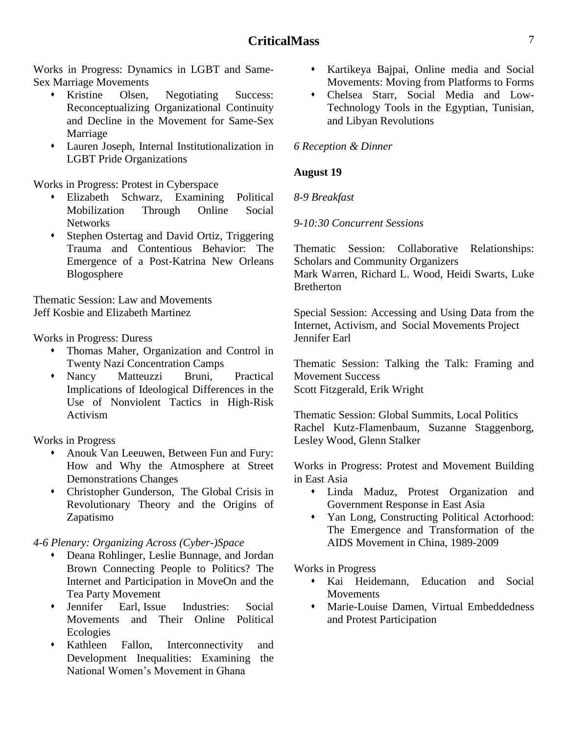Works in Progress: Dynamics in LGBT and Same-Sex Marriage Movements

- Kristine Olsen, Negotiating Success: Reconceptualizing Organizational Continuity and Decline in the Movement for Same-Sex Marriage
- Lauren Joseph, Internal Institutionalization in LGBT Pride Organizations

Works in Progress: Protest in Cyberspace

- Elizabeth Schwarz, Examining Political Mobilization Through Online Social Networks
- Stephen Ostertag and David Ortiz, Triggering Trauma and Contentious Behavior: The Emergence of a Post-Katrina New Orleans Blogosphere

Thematic Session: Law and Movements Jeff Kosbie and Elizabeth Martinez

Works in Progress: Duress

- Thomas Maher, Organization and Control in Twenty Nazi Concentration Camps
- Nancy Matteuzzi Bruni, Practical Implications of Ideological Differences in the Use of Nonviolent Tactics in High-Risk Activism

Works in Progress

- Anouk Van Leeuwen, Between Fun and Fury: How and Why the Atmosphere at Street Demonstrations Changes
- Christopher Gunderson, The Global Crisis in Revolutionary Theory and the Origins of Zapatismo

*4-6 Plenary: Organizing Across (Cyber-)Space*

- Deana Rohlinger, Leslie Bunnage, and Jordan Brown Connecting People to Politics? The Internet and Participation in MoveOn and the Tea Party Movement
- Jennifer Earl, Issue Industries: Social Movements and Their Online Political Ecologies
- Kathleen Fallon, Interconnectivity and Development Inequalities: Examining the National Women's Movement in Ghana
- Kartikeya Bajpai, Online media and Social Movements: Moving from Platforms to Forms
- Chelsea Starr, Social Media and Low-Technology Tools in the Egyptian, Tunisian, and Libyan Revolutions

#### *6 Reception & Dinner*

#### **August 19**

#### *8-9 Breakfast*

*9-10:30 Concurrent Sessions*

Thematic Session: Collaborative Relationships: Scholars and Community Organizers

Mark Warren, Richard L. Wood, Heidi Swarts, Luke **Bretherton** 

Special Session: Accessing and Using Data from the Internet, Activism, and Social Movements Project Jennifer Earl

Thematic Session: Talking the Talk: Framing and Movement Success Scott Fitzgerald, Erik Wright

Thematic Session: Global Summits, Local Politics Rachel Kutz-Flamenbaum, Suzanne Staggenborg, Lesley Wood, Glenn Stalker

Works in Progress: Protest and Movement Building in East Asia

- Linda Maduz, Protest Organization and Government Response in East Asia
- Yan Long, Constructing Political Actorhood: The Emergence and Transformation of the AIDS Movement in China, 1989-2009

Works in Progress

- Kai Heidemann, Education and Social **Movements**
- Marie-Louise Damen, Virtual Embeddedness and Protest Participation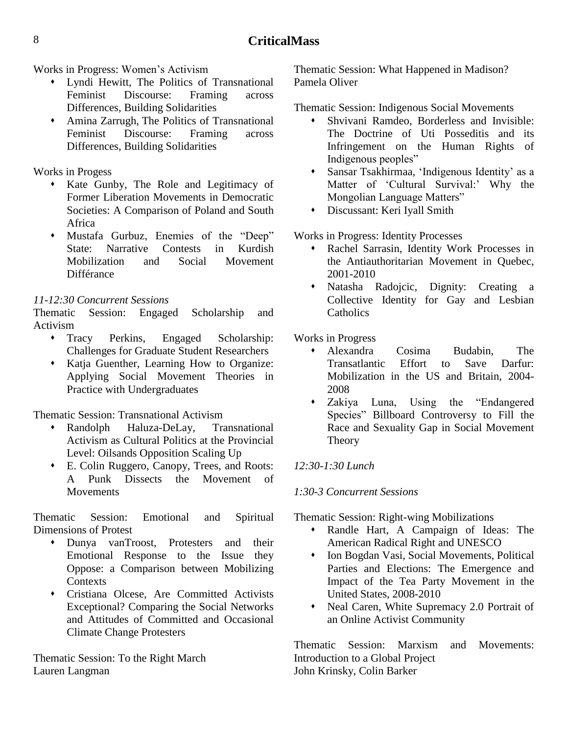Works in Progress: Women's Activism

- Lyndi Hewitt, The Politics of Transnational Feminist Discourse: Framing across Differences, Building Solidarities
- Amina Zarrugh, The Politics of Transnational Feminist Discourse: Framing across Differences, Building Solidarities

Works in Progess

- Kate Gunby, The Role and Legitimacy of Former Liberation Movements in Democratic Societies: A Comparison of Poland and South Africa
- Mustafa Gurbuz, Enemies of the "Deep" State: Narrative Contests in Kurdish Mobilization and Social Movement Différance

# *11-12:30 Concurrent Sessions*

Thematic Session: Engaged Scholarship and Activism

- Tracy Perkins, Engaged Scholarship: Challenges for Graduate Student Researchers
- Katja Guenther, Learning How to Organize: Applying Social Movement Theories in Practice with Undergraduates

Thematic Session: Transnational Activism

- Randolph Haluza-DeLay, Transnational Activism as Cultural Politics at the Provincial Level: Oilsands Opposition Scaling Up
- E. Colin Ruggero, Canopy, Trees, and Roots: A Punk Dissects the Movement of **Movements**

Thematic Session: Emotional and Spiritual Dimensions of Protest

- Dunya vanTroost, Protesters and their Emotional Response to the Issue they Oppose: a Comparison between Mobilizing **Contexts**
- Cristiana Olcese, Are Committed Activists Exceptional? Comparing the Social Networks and Attitudes of Committed and Occasional Climate Change Protesters

Thematic Session: To the Right March Lauren Langman

Thematic Session: What Happened in Madison? Pamela Oliver

Thematic Session: Indigenous Social Movements

- Shvivani Ramdeo, Borderless and Invisible: The Doctrine of Uti Posseditis and its Infringement on the Human Rights of Indigenous peoples"
- Sansar Tsakhirmaa, ‗Indigenous Identity' as a Matter of 'Cultural Survival:' Why the Mongolian Language Matters"
- Discussant: Keri Iyall Smith

# Works in Progress: Identity Processes

- Rachel Sarrasin, Identity Work Processes in the Antiauthoritarian Movement in Quebec, 2001-2010
- Natasha Radojcic, Dignity: Creating a Collective Identity for Gay and Lesbian Catholics

Works in Progress

- Alexandra Cosima Budabin, The Transatlantic Effort to Save Darfur: Mobilization in the US and Britain, 2004- 2008
- Zakiya Luna, Using the "Endangered" Species" Billboard Controversy to Fill the Race and Sexuality Gap in Social Movement Theory

# *12:30-1:30 Lunch*

# *1:30-3 Concurrent Sessions*

Thematic Session: Right-wing Mobilizations

- Randle Hart, A Campaign of Ideas: The American Radical Right and UNESCO
- Ion Bogdan Vasi, Social Movements, Political Parties and Elections: The Emergence and Impact of the Tea Party Movement in the United States, 2008-2010
- Neal Caren, White Supremacy 2.0 Portrait of an Online Activist Community

Thematic Session: Marxism and Movements: Introduction to a Global Project John Krinsky, Colin Barker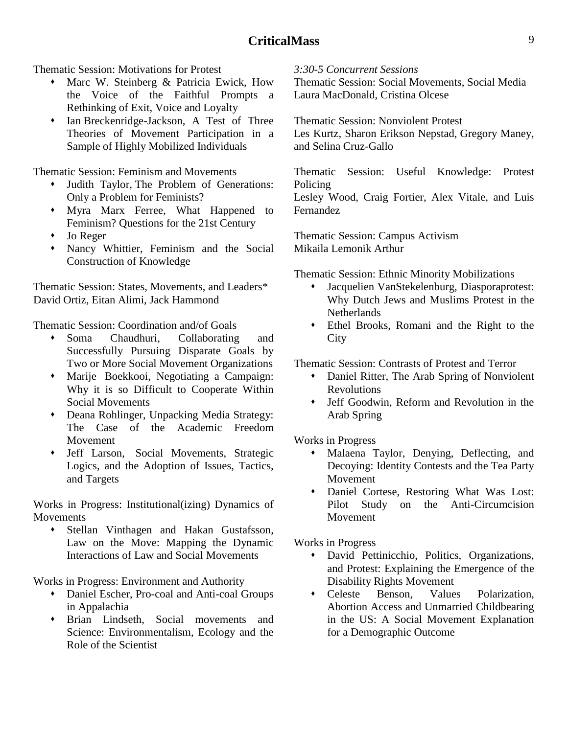Thematic Session: Motivations for Protest

- Marc W. Steinberg & Patricia Ewick, How the Voice of the Faithful Prompts a Rethinking of Exit, Voice and Loyalty
- Ian Breckenridge-Jackson, A Test of Three Theories of Movement Participation in a Sample of Highly Mobilized Individuals

Thematic Session: Feminism and Movements

- Judith Taylor, The Problem of Generations: Only a Problem for Feminists?
- Myra Marx Ferree, What Happened to Feminism? Questions for the 21st Century
- Jo Reger
- Nancy Whittier, Feminism and the Social Construction of Knowledge

Thematic Session: States, Movements, and Leaders\* David Ortiz, Eitan Alimi, Jack Hammond

Thematic Session: Coordination and/of Goals

- Soma Chaudhuri, Collaborating and Successfully Pursuing Disparate Goals by Two or More Social Movement Organizations
- Marije Boekkooi, Negotiating a Campaign: Why it is so Difficult to Cooperate Within Social Movements
- Deana Rohlinger, Unpacking Media Strategy: The Case of the Academic Freedom Movement
- Jeff Larson, Social Movements, Strategic Logics, and the Adoption of Issues, Tactics, and Targets

Works in Progress: Institutional(izing) Dynamics of **Movements** 

 Stellan Vinthagen and Hakan Gustafsson, Law on the Move: Mapping the Dynamic Interactions of Law and Social Movements

Works in Progress: Environment and Authority

- Daniel Escher, Pro-coal and Anti-coal Groups in Appalachia
- Brian Lindseth, Social movements and Science: Environmentalism, Ecology and the Role of the Scientist

#### *3:30-5 Concurrent Sessions*

Thematic Session: Social Movements, Social Media Laura MacDonald, Cristina Olcese

Thematic Session: Nonviolent Protest Les Kurtz, Sharon Erikson Nepstad, Gregory Maney, and Selina Cruz-Gallo

Thematic Session: Useful Knowledge: Protest Policing

Lesley Wood, Craig Fortier, Alex Vitale, and Luis Fernandez

Thematic Session: Campus Activism Mikaila Lemonik Arthur

Thematic Session: Ethnic Minority Mobilizations

- Jacquelien VanStekelenburg, Diasporaprotest: Why Dutch Jews and Muslims Protest in the **Netherlands**
- Ethel Brooks, Romani and the Right to the **City**

Thematic Session: Contrasts of Protest and Terror

- Daniel Ritter, The Arab Spring of Nonviolent Revolutions
- Jeff Goodwin, Reform and Revolution in the Arab Spring

Works in Progress

- Malaena Taylor, Denying, Deflecting, and Decoying: Identity Contests and the Tea Party Movement
- Daniel Cortese, Restoring What Was Lost: Pilot Study on the Anti-Circumcision Movement

Works in Progress

- David Pettinicchio, Politics, Organizations, and Protest: Explaining the Emergence of the Disability Rights Movement
- Celeste Benson, Values Polarization, Abortion Access and Unmarried Childbearing in the US: A Social Movement Explanation for a Demographic Outcome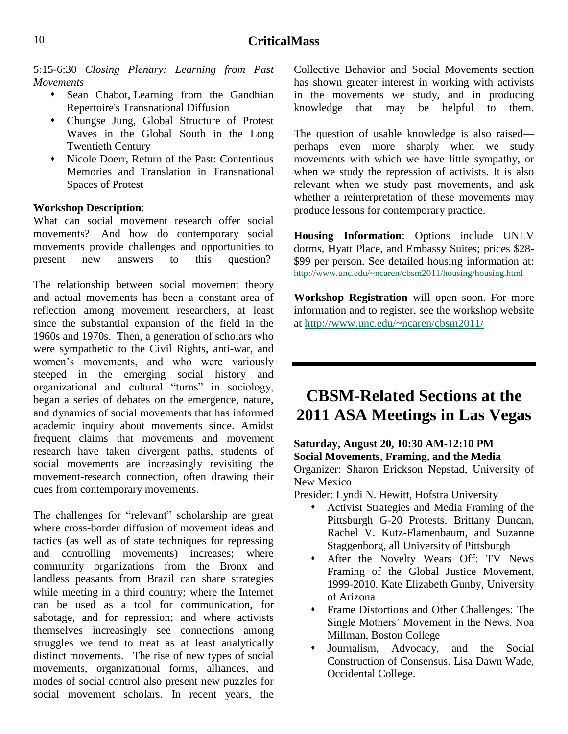5:15-6:30 *Closing Plenary: Learning from Past Movements*

- Sean Chabot, Learning from the Gandhian Repertoire's Transnational Diffusion
- Chungse Jung, Global Structure of Protest Waves in the Global South in the Long Twentieth Century
- Nicole Doerr, Return of the Past: Contentious Memories and Translation in Transnational Spaces of Protest

#### **Workshop Description**:

What can social movement research offer social movements? And how do contemporary social movements provide challenges and opportunities to present new answers to this question?

The relationship between social movement theory and actual movements has been a constant area of reflection among movement researchers, at least since the substantial expansion of the field in the 1960s and 1970s. Then, a generation of scholars who were sympathetic to the Civil Rights, anti-war, and women's movements, and who were variously steeped in the emerging social history and organizational and cultural "turns" in sociology, began a series of debates on the emergence, nature, and dynamics of social movements that has informed academic inquiry about movements since. Amidst frequent claims that movements and movement research have taken divergent paths, students of social movements are increasingly revisiting the movement-research connection, often drawing their cues from contemporary movements.

The challenges for "relevant" scholarship are great where cross-border diffusion of movement ideas and tactics (as well as of state techniques for repressing and controlling movements) increases; where community organizations from the Bronx and landless peasants from Brazil can share strategies while meeting in a third country; where the Internet can be used as a tool for communication, for sabotage, and for repression; and where activists themselves increasingly see connections among struggles we tend to treat as at least analytically distinct movements. The rise of new types of social movements, organizational forms, alliances, and modes of social control also present new puzzles for social movement scholars. In recent years, the Collective Behavior and Social Movements section has shown greater interest in working with activists in the movements we study, and in producing knowledge that may be helpful to them.

The question of usable knowledge is also raised perhaps even more sharply—when we study movements with which we have little sympathy, or when we study the repression of activists. It is also relevant when we study past movements, and ask whether a reinterpretation of these movements may produce lessons for contemporary practice.

**Housing Information**: Options include UNLV dorms, Hyatt Place, and Embassy Suites; prices \$28- \$99 per person. See detailed housing information at: <http://www.unc.edu/~ncaren/cbsm2011/housing/housing.html>

**Workshop Registration** will open soon. For more information and to register, see the workshop website at<http://www.unc.edu/~ncaren/cbsm2011/>

# <span id="page-9-0"></span>**CBSM-Related Sections at the 2011 ASA Meetings in Las Vegas**

# **Saturday, August 20, 10:30 AM-12:10 PM Social Movements, Framing, and the Media**

Organizer: Sharon Erickson Nepstad, University of New Mexico

Presider: Lyndi N. Hewitt, Hofstra University

- Activist Strategies and Media Framing of the Pittsburgh G-20 Protests. Brittany Duncan, Rachel V. Kutz-Flamenbaum, and Suzanne Staggenborg, all University of Pittsburgh
- After the Novelty Wears Off: TV News Framing of the Global Justice Movement, 1999-2010. Kate Elizabeth Gunby, University of Arizona
- Frame Distortions and Other Challenges: The Single Mothers' Movement in the News. Noa Millman, Boston College
- Journalism, Advocacy, and the Social Construction of Consensus. Lisa Dawn Wade, Occidental College.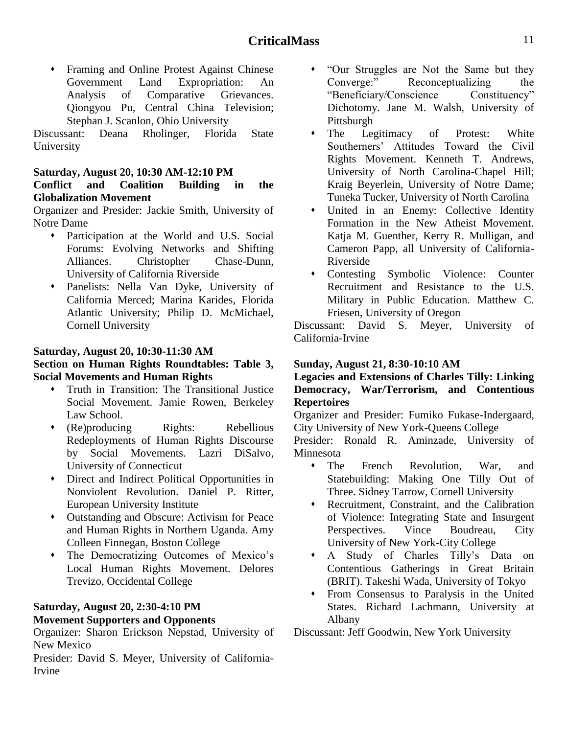Framing and Online Protest Against Chinese Government Land Expropriation: An Analysis of Comparative Grievances. Qiongyou Pu, Central China Television; Stephan J. Scanlon, Ohio University

Discussant: Deana Rholinger, Florida State University

#### **Saturday, August 20, 10:30 AM-12:10 PM Conflict and Coalition Building in the Globalization Movement**

Organizer and Presider: Jackie Smith, University of Notre Dame

- Participation at the World and U.S. Social Forums: Evolving Networks and Shifting Alliances. Christopher Chase-Dunn, University of California Riverside
- Panelists: Nella Van Dyke, University of California Merced; Marina Karides, Florida Atlantic University; Philip D. McMichael, Cornell University

#### **Saturday, August 20, 10:30-11:30 AM**

#### **Section on Human Rights Roundtables: Table 3, Social Movements and Human Rights**

- Truth in Transition: The Transitional Justice Social Movement. Jamie Rowen, Berkeley Law School.
- (Re)producing Rights: Rebellious Redeployments of Human Rights Discourse by Social Movements. Lazri DiSalvo, University of Connecticut
- Direct and Indirect Political Opportunities in Nonviolent Revolution. Daniel P. Ritter, European University Institute
- Outstanding and Obscure: Activism for Peace and Human Rights in Northern Uganda. Amy Colleen Finnegan, Boston College
- The Democratizing Outcomes of Mexico's Local Human Rights Movement. Delores Trevizo, Occidental College

#### **Saturday, August 20, 2:30-4:10 PM Movement Supporters and Opponents**

Organizer: Sharon Erickson Nepstad, University of New Mexico

Presider: David S. Meyer, University of California-Irvine

- ―Our Struggles are Not the Same but they Converge:" Reconceptualizing the "Beneficiary/Conscience Constituency" Dichotomy. Jane M. Walsh, University of Pittsburgh
- The Legitimacy of Protest: White Southerners' Attitudes Toward the Civil Rights Movement. Kenneth T. Andrews, University of North Carolina-Chapel Hill; Kraig Beyerlein, University of Notre Dame; Tuneka Tucker, University of North Carolina
- United in an Enemy: Collective Identity Formation in the New Atheist Movement. Katja M. Guenther, Kerry R. Mulligan, and Cameron Papp, all University of California-Riverside
- Contesting Symbolic Violence: Counter Recruitment and Resistance to the U.S. Military in Public Education. Matthew C. Friesen, University of Oregon

Discussant: David S. Meyer, University of California-Irvine

#### **Sunday, August 21, 8:30-10:10 AM**

#### **Legacies and Extensions of Charles Tilly: Linking Democracy, War/Terrorism, and Contentious Repertoires**

Organizer and Presider: Fumiko Fukase-Indergaard, City University of New York-Queens College

Presider: Ronald R. Aminzade, University of Minnesota

- The French Revolution, War, and Statebuilding: Making One Tilly Out of Three. Sidney Tarrow, Cornell University
- Recruitment, Constraint, and the Calibration of Violence: Integrating State and Insurgent Perspectives. Vince Boudreau, City University of New York-City College
- A Study of Charles Tilly's Data on Contentious Gatherings in Great Britain (BRIT). Takeshi Wada, University of Tokyo
- From Consensus to Paralysis in the United States. Richard Lachmann, University at Albany

Discussant: Jeff Goodwin, New York University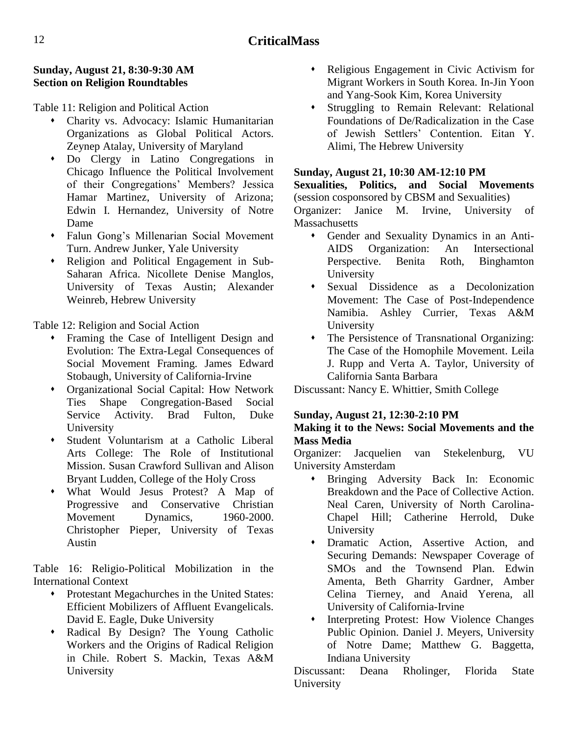#### **Sunday, August 21, 8:30-9:30 AM Section on Religion Roundtables**

Table 11: Religion and Political Action

- Charity vs. Advocacy: Islamic Humanitarian Organizations as Global Political Actors. Zeynep Atalay, University of Maryland
- Do Clergy in Latino Congregations in Chicago Influence the Political Involvement of their Congregations' Members? Jessica Hamar Martinez, University of Arizona; Edwin I. Hernandez, University of Notre Dame
- Falun Gong's Millenarian Social Movement Turn. Andrew Junker, Yale University
- Religion and Political Engagement in Sub-Saharan Africa. Nicollete Denise Manglos, University of Texas Austin; Alexander Weinreb, Hebrew University

Table 12: Religion and Social Action

- Framing the Case of Intelligent Design and Evolution: The Extra-Legal Consequences of Social Movement Framing. James Edward Stobaugh, University of California-Irvine
- Organizational Social Capital: How Network Ties Shape Congregation-Based Social Service Activity. Brad Fulton, Duke University
- Student Voluntarism at a Catholic Liberal Arts College: The Role of Institutional Mission. Susan Crawford Sullivan and Alison Bryant Ludden, College of the Holy Cross
- What Would Jesus Protest? A Map of Progressive and Conservative Christian Movement Dynamics, 1960-2000. Christopher Pieper, University of Texas Austin

Table 16: Religio-Political Mobilization in the International Context

- Protestant Megachurches in the United States: Efficient Mobilizers of Affluent Evangelicals. David E. Eagle, Duke University
- Radical By Design? The Young Catholic Workers and the Origins of Radical Religion in Chile. Robert S. Mackin, Texas A&M University
- Religious Engagement in Civic Activism for Migrant Workers in South Korea. In-Jin Yoon and Yang-Sook Kim, Korea University
- Struggling to Remain Relevant: Relational Foundations of De/Radicalization in the Case of Jewish Settlers' Contention. Eitan Y. Alimi, The Hebrew University

# **Sunday, August 21, 10:30 AM-12:10 PM**

**Sexualities, Politics, and Social Movements** (session cosponsored by CBSM and Sexualities)

Organizer: Janice M. Irvine, University of **Massachusetts** 

- Gender and Sexuality Dynamics in an Anti-AIDS Organization: An Intersectional Perspective. Benita Roth, Binghamton University
- Sexual Dissidence as a Decolonization Movement: The Case of Post-Independence Namibia. Ashley Currier, Texas A&M University
- The Persistence of Transnational Organizing: The Case of the Homophile Movement. Leila J. Rupp and Verta A. Taylor, University of California Santa Barbara

Discussant: Nancy E. Whittier, Smith College

# **Sunday, August 21, 12:30-2:10 PM**

#### **Making it to the News: Social Movements and the Mass Media**

Organizer: Jacquelien van Stekelenburg, VU University Amsterdam

- Bringing Adversity Back In: Economic Breakdown and the Pace of Collective Action. Neal Caren, University of North Carolina-Chapel Hill; Catherine Herrold, Duke University
- Dramatic Action, Assertive Action, and Securing Demands: Newspaper Coverage of SMOs and the Townsend Plan. Edwin Amenta, Beth Gharrity Gardner, Amber Celina Tierney, and Anaid Yerena, all University of California-Irvine
- Interpreting Protest: How Violence Changes Public Opinion. Daniel J. Meyers, University of Notre Dame; Matthew G. Baggetta, Indiana University

Discussant: Deana Rholinger, Florida State University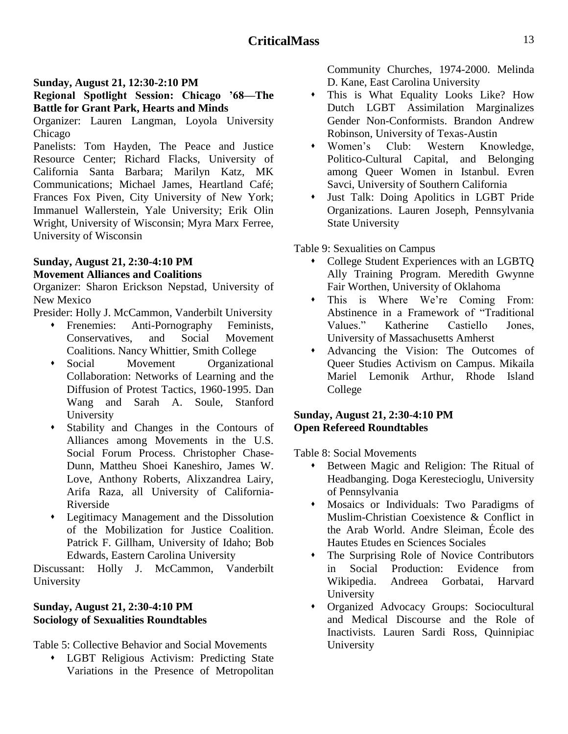#### **Sunday, August 21, 12:30-2:10 PM**

#### **Regional Spotlight Session: Chicago '68—The Battle for Grant Park, Hearts and Minds**

Organizer: Lauren Langman, Loyola University Chicago

Panelists: Tom Hayden, The Peace and Justice Resource Center; Richard Flacks, University of California Santa Barbara; Marilyn Katz, MK Communications; Michael James, Heartland Café; Frances Fox Piven, City University of New York; Immanuel Wallerstein, Yale University; Erik Olin Wright, University of Wisconsin; Myra Marx Ferree, University of Wisconsin

#### **Sunday, August 21, 2:30-4:10 PM Movement Alliances and Coalitions**

Organizer: Sharon Erickson Nepstad, University of New Mexico

Presider: Holly J. McCammon, Vanderbilt University

- Frenemies: Anti-Pornography Feminists, Conservatives, and Social Movement Coalitions. Nancy Whittier, Smith College
- Social Movement Organizational Collaboration: Networks of Learning and the Diffusion of Protest Tactics, 1960-1995. Dan Wang and Sarah A. Soule, Stanford University
- Stability and Changes in the Contours of Alliances among Movements in the U.S. Social Forum Process. Christopher Chase-Dunn, Mattheu Shoei Kaneshiro, James W. Love, Anthony Roberts, Alixzandrea Lairy, Arifa Raza, all University of California-Riverside
- Legitimacy Management and the Dissolution of the Mobilization for Justice Coalition. Patrick F. Gillham, University of Idaho; Bob Edwards, Eastern Carolina University

Discussant: Holly J. McCammon, Vanderbilt University

#### **Sunday, August 21, 2:30-4:10 PM Sociology of Sexualities Roundtables**

Table 5: Collective Behavior and Social Movements

 LGBT Religious Activism: Predicting State Variations in the Presence of Metropolitan

Community Churches, 1974-2000. Melinda D. Kane, East Carolina University

- This is What Equality Looks Like? How Dutch LGBT Assimilation Marginalizes Gender Non-Conformists. Brandon Andrew Robinson, University of Texas-Austin
- Women's Club: Western Knowledge, Politico-Cultural Capital, and Belonging among Queer Women in Istanbul. Evren Savci, University of Southern California
- Just Talk: Doing Apolitics in LGBT Pride Organizations. Lauren Joseph, Pennsylvania State University

#### Table 9: Sexualities on Campus

- College Student Experiences with an LGBTQ Ally Training Program. Meredith Gwynne Fair Worthen, University of Oklahoma
- This is Where We're Coming From: Abstinence in a Framework of "Traditional Values." Katherine Castiello Jones, University of Massachusetts Amherst
- Advancing the Vision: The Outcomes of Queer Studies Activism on Campus. Mikaila Mariel Lemonik Arthur, Rhode Island College

#### **Sunday, August 21, 2:30-4:10 PM Open Refereed Roundtables**

Table 8: Social Movements

- Between Magic and Religion: The Ritual of Headbanging. Doga Kerestecioglu, University of Pennsylvania
- Mosaics or Individuals: Two Paradigms of Muslim-Christian Coexistence & Conflict in the Arab World. Andre Sleiman, École des Hautes Etudes en Sciences Sociales
- The Surprising Role of Novice Contributors in Social Production: Evidence from Wikipedia. Andreea Gorbatai, Harvard University
- Organized Advocacy Groups: Sociocultural and Medical Discourse and the Role of Inactivists. Lauren Sardi Ross, Quinnipiac University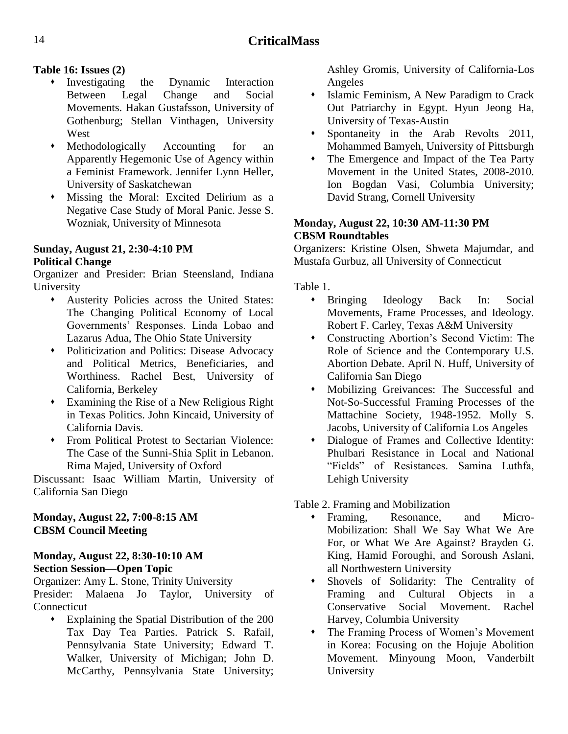## **Table 16: Issues (2)**

- Investigating the Dynamic Interaction Between Legal Change and Social Movements. Hakan Gustafsson, University of Gothenburg; Stellan Vinthagen, University West
- Methodologically Accounting for an Apparently Hegemonic Use of Agency within a Feminist Framework. Jennifer Lynn Heller, University of Saskatchewan
- Missing the Moral: Excited Delirium as a Negative Case Study of Moral Panic. Jesse S. Wozniak, University of Minnesota

# **Sunday, August 21, 2:30-4:10 PM**

## **Political Change**

Organizer and Presider: Brian Steensland, Indiana University

- Austerity Policies across the United States: The Changing Political Economy of Local Governments' Responses. Linda Lobao and Lazarus Adua, The Ohio State University
- Politicization and Politics: Disease Advocacy and Political Metrics, Beneficiaries, and Worthiness. Rachel Best, University of California, Berkeley
- Examining the Rise of a New Religious Right in Texas Politics. John Kincaid, University of California Davis.
- From Political Protest to Sectarian Violence: The Case of the Sunni-Shia Split in Lebanon. Rima Majed, University of Oxford

Discussant: Isaac William Martin, University of California San Diego

#### **Monday, August 22, 7:00-8:15 AM CBSM Council Meeting**

#### **Monday, August 22, 8:30-10:10 AM Section Session—Open Topic**

Organizer: Amy L. Stone, Trinity University

Presider: Malaena Jo Taylor, University of **Connecticut** 

 Explaining the Spatial Distribution of the 200 Tax Day Tea Parties. Patrick S. Rafail, Pennsylvania State University; Edward T. Walker, University of Michigan; John D. McCarthy, Pennsylvania State University; Ashley Gromis, University of California-Los Angeles

- Islamic Feminism, A New Paradigm to Crack Out Patriarchy in Egypt. Hyun Jeong Ha, University of Texas-Austin
- Spontaneity in the Arab Revolts 2011, Mohammed Bamyeh, University of Pittsburgh
- The Emergence and Impact of the Tea Party Movement in the United States, 2008-2010. Ion Bogdan Vasi, Columbia University; David Strang, Cornell University

## **Monday, August 22, 10:30 AM-11:30 PM CBSM Roundtables**

Organizers: Kristine Olsen, Shweta Majumdar, and Mustafa Gurbuz, all University of Connecticut

Table 1.

- Bringing Ideology Back In: Social Movements, Frame Processes, and Ideology. Robert F. Carley, Texas A&M University
- Constructing Abortion's Second Victim: The Role of Science and the Contemporary U.S. Abortion Debate. April N. Huff, University of California San Diego
- Mobilizing Greivances: The Successful and Not-So-Successful Framing Processes of the Mattachine Society, 1948-1952. Molly S. Jacobs, University of California Los Angeles
- Dialogue of Frames and Collective Identity: Phulbari Resistance in Local and National "Fields" of Resistances. Samina Luthfa, Lehigh University

Table 2. Framing and Mobilization

- Framing, Resonance, and Micro-Mobilization: Shall We Say What We Are For, or What We Are Against? Brayden G. King, Hamid Foroughi, and Soroush Aslani, all Northwestern University
- Shovels of Solidarity: The Centrality of Framing and Cultural Objects in a Conservative Social Movement. Rachel Harvey, Columbia University
- The Framing Process of Women's Movement in Korea: Focusing on the Hojuje Abolition Movement. Minyoung Moon, Vanderbilt University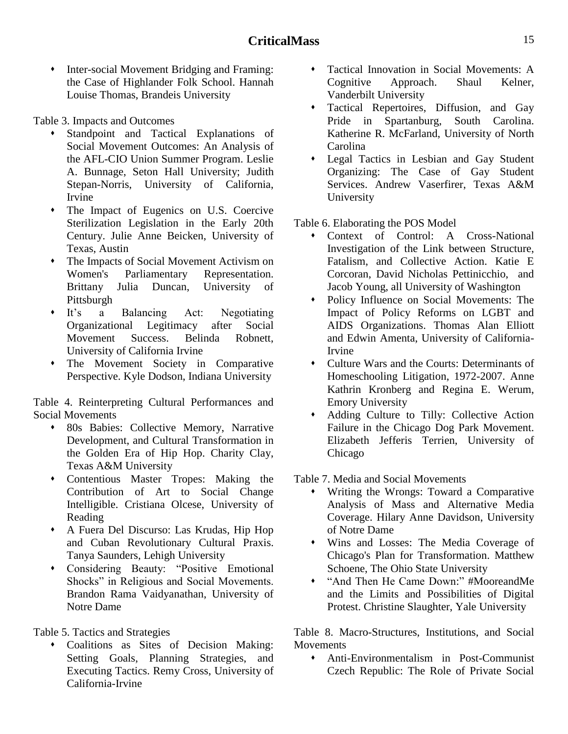$\bullet$  Inter-social Movement Bridging and Framing: the Case of Highlander Folk School. Hannah Louise Thomas, Brandeis University

Table 3. Impacts and Outcomes

- Standpoint and Tactical Explanations of Social Movement Outcomes: An Analysis of the AFL-CIO Union Summer Program. Leslie A. Bunnage, Seton Hall University; Judith Stepan-Norris, University of California, Irvine
- The Impact of Eugenics on U.S. Coercive Sterilization Legislation in the Early 20th Century. Julie Anne Beicken, University of Texas, Austin
- The Impacts of Social Movement Activism on Women's Parliamentary Representation. Brittany Julia Duncan, University of Pittsburgh
- It's a Balancing Act: Negotiating Organizational Legitimacy after Social Movement Success. Belinda Robnett, University of California Irvine
- The Movement Society in Comparative Perspective. Kyle Dodson, Indiana University

Table 4. Reinterpreting Cultural Performances and Social Movements

- 80s Babies: Collective Memory, Narrative Development, and Cultural Transformation in the Golden Era of Hip Hop. Charity Clay, Texas A&M University
- Contentious Master Tropes: Making the Contribution of Art to Social Change Intelligible. Cristiana Olcese, University of Reading
- A Fuera Del Discurso: Las Krudas, Hip Hop and Cuban Revolutionary Cultural Praxis. Tanya Saunders, Lehigh University
- Considering Beauty: "Positive Emotional Shocks" in Religious and Social Movements. Brandon Rama Vaidyanathan, University of Notre Dame

Table 5. Tactics and Strategies

 Coalitions as Sites of Decision Making: Setting Goals, Planning Strategies, and Executing Tactics. Remy Cross, University of California-Irvine

- Tactical Innovation in Social Movements: A Cognitive Approach. Shaul Kelner, Vanderbilt University
- Tactical Repertoires, Diffusion, and Gay Pride in Spartanburg, South Carolina. Katherine R. McFarland, University of North Carolina
- Legal Tactics in Lesbian and Gay Student Organizing: The Case of Gay Student Services. Andrew Vaserfirer, Texas A&M University

Table 6. Elaborating the POS Model

- Context of Control: A Cross-National Investigation of the Link between Structure, Fatalism, and Collective Action. Katie E Corcoran, David Nicholas Pettinicchio, and Jacob Young, all University of Washington
- Policy Influence on Social Movements: The Impact of Policy Reforms on LGBT and AIDS Organizations. Thomas Alan Elliott and Edwin Amenta, University of California-Irvine
- Culture Wars and the Courts: Determinants of Homeschooling Litigation, 1972-2007. Anne Kathrin Kronberg and Regina E. Werum, Emory University
- Adding Culture to Tilly: Collective Action Failure in the Chicago Dog Park Movement. Elizabeth Jefferis Terrien, University of Chicago

Table 7. Media and Social Movements

- Writing the Wrongs: Toward a Comparative Analysis of Mass and Alternative Media Coverage. Hilary Anne Davidson, University of Notre Dame
- Wins and Losses: The Media Coverage of Chicago's Plan for Transformation. Matthew Schoene, The Ohio State University
- "And Then He Came Down:" #MooreandMe and the Limits and Possibilities of Digital Protest. Christine Slaughter, Yale University

Table 8. Macro-Structures, Institutions, and Social Movements

 Anti-Environmentalism in Post-Communist Czech Republic: The Role of Private Social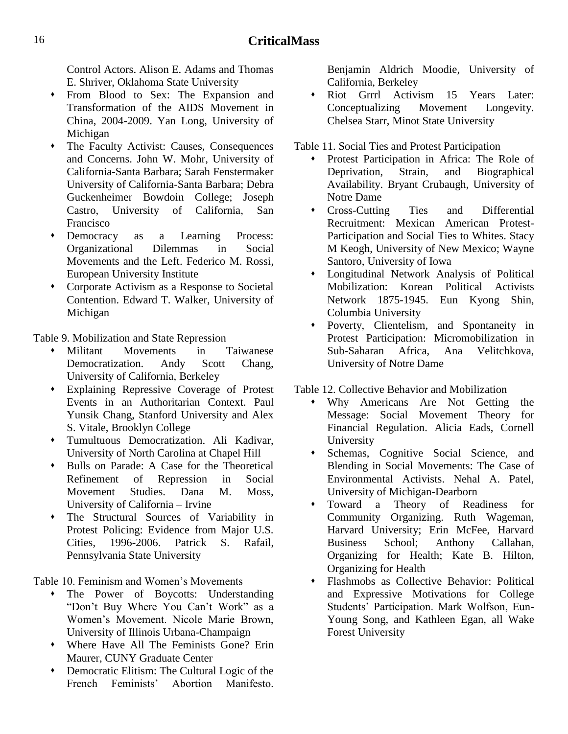Control Actors. Alison E. Adams and Thomas E. Shriver, Oklahoma State University

- From Blood to Sex: The Expansion and Transformation of the AIDS Movement in China, 2004-2009. Yan Long, University of Michigan
- The Faculty Activist: Causes, Consequences and Concerns. John W. Mohr, University of California-Santa Barbara; Sarah Fenstermaker University of California-Santa Barbara; Debra Guckenheimer Bowdoin College; Joseph Castro, University of California, San Francisco
- Democracy as a Learning Process: Organizational Dilemmas in Social Movements and the Left. Federico M. Rossi, European University Institute
- Corporate Activism as a Response to Societal Contention. Edward T. Walker, University of Michigan

Table 9. Mobilization and State Repression

- Militant Movements in Taiwanese Democratization. Andy Scott Chang, University of California, Berkeley
- Explaining Repressive Coverage of Protest Events in an Authoritarian Context. Paul Yunsik Chang, Stanford University and Alex S. Vitale, Brooklyn College
- Tumultuous Democratization. Ali Kadivar, University of North Carolina at Chapel Hill
- Bulls on Parade: A Case for the Theoretical Refinement of Repression in Social Movement Studies. Dana M. Moss, University of California – Irvine
- The Structural Sources of Variability in Protest Policing: Evidence from Major U.S. Cities, 1996-2006. Patrick S. Rafail, Pennsylvania State University

Table 10. Feminism and Women's Movements

- The Power of Boycotts: Understanding "Don't Buy Where You Can't Work" as a Women's Movement. Nicole Marie Brown, University of Illinois Urbana-Champaign
- Where Have All The Feminists Gone? Erin Maurer, CUNY Graduate Center
- Democratic Elitism: The Cultural Logic of the French Feminists' Abortion Manifesto.

Benjamin Aldrich Moodie, University of California, Berkeley

• Riot Grrrl Activism 15 Years Later: Conceptualizing Movement Longevity. Chelsea Starr, Minot State University

Table 11. Social Ties and Protest Participation

- Protest Participation in Africa: The Role of Deprivation, Strain, and Biographical Availability. Bryant Crubaugh, University of Notre Dame
- Cross-Cutting Ties and Differential Recruitment: Mexican American Protest-Participation and Social Ties to Whites. Stacy M Keogh, University of New Mexico; Wayne Santoro, University of Iowa
- Longitudinal Network Analysis of Political Mobilization: Korean Political Activists Network 1875-1945. Eun Kyong Shin, Columbia University
- Poverty, Clientelism, and Spontaneity in Protest Participation: Micromobilization in Sub-Saharan Africa, Ana Velitchkova, University of Notre Dame

Table 12. Collective Behavior and Mobilization

- Why Americans Are Not Getting the Message: Social Movement Theory for Financial Regulation. Alicia Eads, Cornell University
- Schemas, Cognitive Social Science, and Blending in Social Movements: The Case of Environmental Activists. Nehal A. Patel, University of Michigan-Dearborn
- Toward a Theory of Readiness for Community Organizing. Ruth Wageman, Harvard University; Erin McFee, Harvard Business School; Anthony Callahan, Organizing for Health; Kate B. Hilton, Organizing for Health
- Flashmobs as Collective Behavior: Political and Expressive Motivations for College Students' Participation. Mark Wolfson, Eun-Young Song, and Kathleen Egan, all Wake Forest University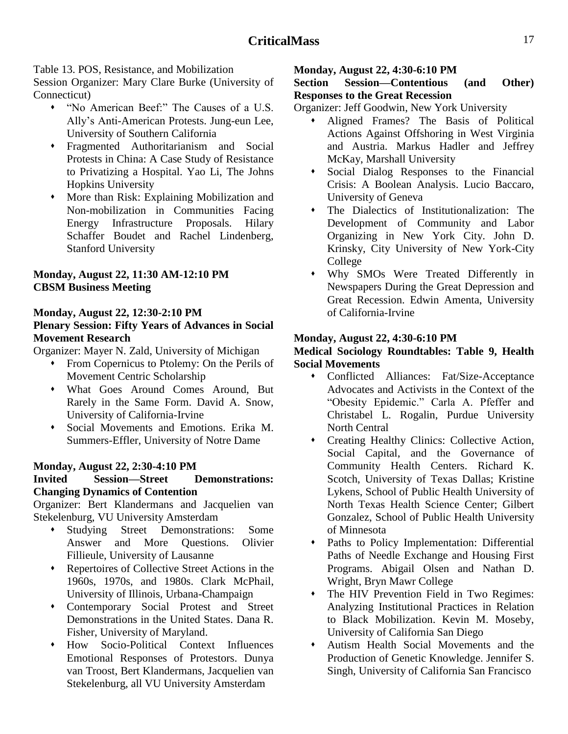Table 13. POS, Resistance, and Mobilization

Session Organizer: Mary Clare Burke (University of Connecticut)

- ―No American Beef:‖ The Causes of a U.S. Ally's Anti-American Protests. Jung-eun Lee, University of Southern California
- Fragmented Authoritarianism and Social Protests in China: A Case Study of Resistance to Privatizing a Hospital. Yao Li, The Johns Hopkins University
- More than Risk: Explaining Mobilization and Non-mobilization in Communities Facing Energy Infrastructure Proposals. Hilary Schaffer Boudet and Rachel Lindenberg, Stanford University

### **Monday, August 22, 11:30 AM-12:10 PM CBSM Business Meeting**

#### **Monday, August 22, 12:30-2:10 PM**

#### **Plenary Session: Fifty Years of Advances in Social Movement Research**

Organizer: Mayer N. Zald, University of Michigan

- From Copernicus to Ptolemy: On the Perils of Movement Centric Scholarship
- What Goes Around Comes Around, But Rarely in the Same Form. David A. Snow, University of California-Irvine
- Social Movements and Emotions. Erika M. Summers-Effler, University of Notre Dame

#### **Monday, August 22, 2:30-4:10 PM**

#### **Invited Session—Street Demonstrations: Changing Dynamics of Contention**

Organizer: Bert Klandermans and Jacquelien van Stekelenburg, VU University Amsterdam

- Studying Street Demonstrations: Some Answer and More Questions. Olivier Fillieule, University of Lausanne
- Repertoires of Collective Street Actions in the 1960s, 1970s, and 1980s. Clark McPhail, University of Illinois, Urbana-Champaign
- Contemporary Social Protest and Street Demonstrations in the United States. Dana R. Fisher, University of Maryland.
- How Socio-Political Context Influences Emotional Responses of Protestors. Dunya van Troost, Bert Klandermans, Jacquelien van Stekelenburg, all VU University Amsterdam

#### **Monday, August 22, 4:30-6:10 PM**

#### **Section Session—Contentious (and Other) Responses to the Great Recession**

Organizer: Jeff Goodwin, New York University

- Aligned Frames? The Basis of Political Actions Against Offshoring in West Virginia and Austria. Markus Hadler and Jeffrey McKay, Marshall University
- Social Dialog Responses to the Financial Crisis: A Boolean Analysis. Lucio Baccaro, University of Geneva
- The Dialectics of Institutionalization: The Development of Community and Labor Organizing in New York City. John D. Krinsky, City University of New York-City College
- Why SMOs Were Treated Differently in Newspapers During the Great Depression and Great Recession. Edwin Amenta, University of California-Irvine

#### **Monday, August 22, 4:30-6:10 PM**

#### **Medical Sociology Roundtables: Table 9, Health Social Movements**

- Conflicted Alliances: Fat/Size-Acceptance Advocates and Activists in the Context of the ―Obesity Epidemic.‖ Carla A. Pfeffer and Christabel L. Rogalin, Purdue University North Central
- Creating Healthy Clinics: Collective Action, Social Capital, and the Governance of Community Health Centers. Richard K. Scotch, University of Texas Dallas; Kristine Lykens, School of Public Health University of North Texas Health Science Center; Gilbert Gonzalez, School of Public Health University of Minnesota
- Paths to Policy Implementation: Differential Paths of Needle Exchange and Housing First Programs. Abigail Olsen and Nathan D. Wright, Bryn Mawr College
- The HIV Prevention Field in Two Regimes: Analyzing Institutional Practices in Relation to Black Mobilization. Kevin M. Moseby, University of California San Diego
- Autism Health Social Movements and the Production of Genetic Knowledge. Jennifer S. Singh, University of California San Francisco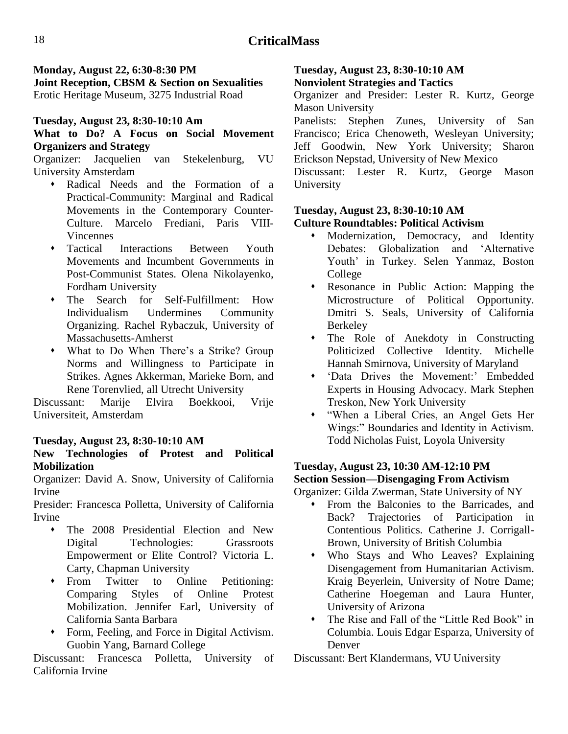**Monday, August 22, 6:30-8:30 PM Joint Reception, CBSM & Section on Sexualities** Erotic Heritage Museum, 3275 Industrial Road

# **Tuesday, August 23, 8:30-10:10 Am**

## **What to Do? A Focus on Social Movement Organizers and Strategy**

Organizer: Jacquelien van Stekelenburg, VU University Amsterdam

- Radical Needs and the Formation of a Practical-Community: Marginal and Radical Movements in the Contemporary Counter-Culture. Marcelo Frediani, Paris VIII-Vincennes
- Tactical Interactions Between Youth Movements and Incumbent Governments in Post-Communist States. Olena Nikolayenko, Fordham University
- The Search for Self-Fulfillment: How Individualism Undermines Community Organizing. Rachel Rybaczuk, University of Massachusetts-Amherst
- What to Do When There's a Strike? Group Norms and Willingness to Participate in Strikes. Agnes Akkerman, Marieke Born, and Rene Torenvlied, all Utrecht University

Discussant: Marije Elvira Boekkooi, Vrije Universiteit, Amsterdam

## **Tuesday, August 23, 8:30-10:10 AM**

#### **New Technologies of Protest and Political Mobilization**

Organizer: David A. Snow, University of California Irvine

Presider: Francesca Polletta, University of California Irvine

- The 2008 Presidential Election and New Digital Technologies: Grassroots Empowerment or Elite Control? Victoria L. Carty, Chapman University
- From Twitter to Online Petitioning: Comparing Styles of Online Protest Mobilization. Jennifer Earl, University of California Santa Barbara
- Form, Feeling, and Force in Digital Activism. Guobin Yang, Barnard College

Discussant: Francesca Polletta, University of California Irvine

#### **Tuesday, August 23, 8:30-10:10 AM Nonviolent Strategies and Tactics**

Organizer and Presider: Lester R. Kurtz, George Mason University

Panelists: Stephen Zunes, University of San Francisco; Erica Chenoweth, Wesleyan University; Jeff Goodwin, New York University; Sharon Erickson Nepstad, University of New Mexico

Discussant: Lester R. Kurtz, George Mason University

#### **Tuesday, August 23, 8:30-10:10 AM Culture Roundtables: Political Activism**

- Modernization, Democracy, and Identity Debates: Globalization and 'Alternative Youth' in Turkey. Selen Yanmaz, Boston College
- Resonance in Public Action: Mapping the Microstructure of Political Opportunity. Dmitri S. Seals, University of California Berkeley
- The Role of Anekdoty in Constructing Politicized Collective Identity. Michelle Hannah Smirnova, University of Maryland
- ‗Data Drives the Movement:' Embedded Experts in Housing Advocacy. Mark Stephen Treskon, New York University
- ―When a Liberal Cries, an Angel Gets Her Wings:" Boundaries and Identity in Activism. Todd Nicholas Fuist, Loyola University

#### **Tuesday, August 23, 10:30 AM-12:10 PM Section Session—Disengaging From Activism**

Organizer: Gilda Zwerman, State University of NY

- From the Balconies to the Barricades, and Back? Trajectories of Participation in Contentious Politics. Catherine J. Corrigall-Brown, University of British Columbia
- Who Stays and Who Leaves? Explaining Disengagement from Humanitarian Activism. Kraig Beyerlein, University of Notre Dame; Catherine Hoegeman and Laura Hunter, University of Arizona
- The Rise and Fall of the "Little Red Book" in Columbia. Louis Edgar Esparza, University of Denver

Discussant: Bert Klandermans, VU University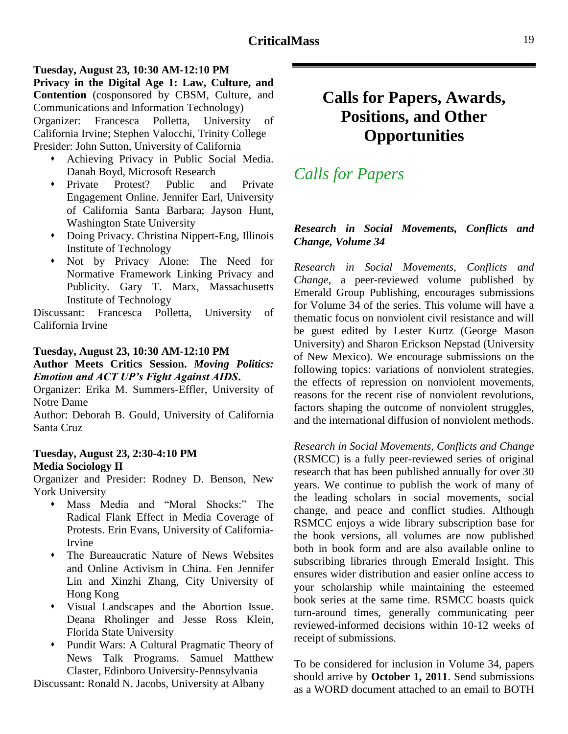#### **Tuesday, August 23, 10:30 AM-12:10 PM Privacy in the Digital Age 1: Law, Culture, and Contention** (cosponsored by CBSM, Culture, and Communications and Information Technology) Organizer: Francesca Polletta, University of California Irvine; Stephen Valocchi, Trinity College Presider: John Sutton, University of California

- Achieving Privacy in Public Social Media. Danah Boyd, Microsoft Research
- Private Protest? Public and Private Engagement Online. Jennifer Earl, University of California Santa Barbara; Jayson Hunt, Washington State University
- Doing Privacy. Christina Nippert-Eng, Illinois Institute of Technology
- Not by Privacy Alone: The Need for Normative Framework Linking Privacy and Publicity. Gary T. Marx, Massachusetts Institute of Technology

Discussant: Francesca Polletta, University of California Irvine

#### **Tuesday, August 23, 10:30 AM-12:10 PM**

#### **Author Meets Critics Session.** *Moving Politics: Emotion and ACT UP's Fight Against AIDS***.**

Organizer: Erika M. Summers-Effler, University of Notre Dame

Author: Deborah B. Gould, University of California Santa Cruz

#### **Tuesday, August 23, 2:30-4:10 PM Media Sociology II**

Organizer and Presider: Rodney D. Benson, New York University

- Mass Media and "Moral Shocks:" The Radical Flank Effect in Media Coverage of Protests. Erin Evans, University of California-Irvine
- The Bureaucratic Nature of News Websites and Online Activism in China. Fen Jennifer Lin and Xinzhi Zhang, City University of Hong Kong
- Visual Landscapes and the Abortion Issue. Deana Rholinger and Jesse Ross Klein, Florida State University
- Pundit Wars: A Cultural Pragmatic Theory of News Talk Programs. Samuel Matthew Claster, Edinboro University-Pennsylvania

Discussant: Ronald N. Jacobs, University at Albany

# <span id="page-18-0"></span>**Calls for Papers, Awards, Positions, and Other Opportunities**

# *Calls for Papers*

#### *Research in Social Movements, Conflicts and Change, Volume 34*

*Research in Social Movements, Conflicts and Change*, a peer-reviewed volume published by Emerald Group Publishing, encourages submissions for Volume 34 of the series. This volume will have a thematic focus on nonviolent civil resistance and will be guest edited by Lester Kurtz (George Mason University) and Sharon Erickson Nepstad (University of New Mexico). We encourage submissions on the following topics: variations of nonviolent strategies, the effects of repression on nonviolent movements, reasons for the recent rise of nonviolent revolutions, factors shaping the outcome of nonviolent struggles, and the international diffusion of nonviolent methods.

*Research in Social Movements, Conflicts and Change* (RSMCC) is a fully peer-reviewed series of original research that has been published annually for over 30 years. We continue to publish the work of many of the leading scholars in social movements, social change, and peace and conflict studies. Although RSMCC enjoys a wide library subscription base for the book versions, all volumes are now published both in book form and are also available online to subscribing libraries through Emerald Insight. This ensures wider distribution and easier online access to your scholarship while maintaining the esteemed book series at the same time. RSMCC boasts quick turn-around times, generally communicating peer reviewed-informed decisions within 10-12 weeks of receipt of submissions.

To be considered for inclusion in Volume 34, papers should arrive by **October 1, 2011**. Send submissions as a WORD document attached to an email to BOTH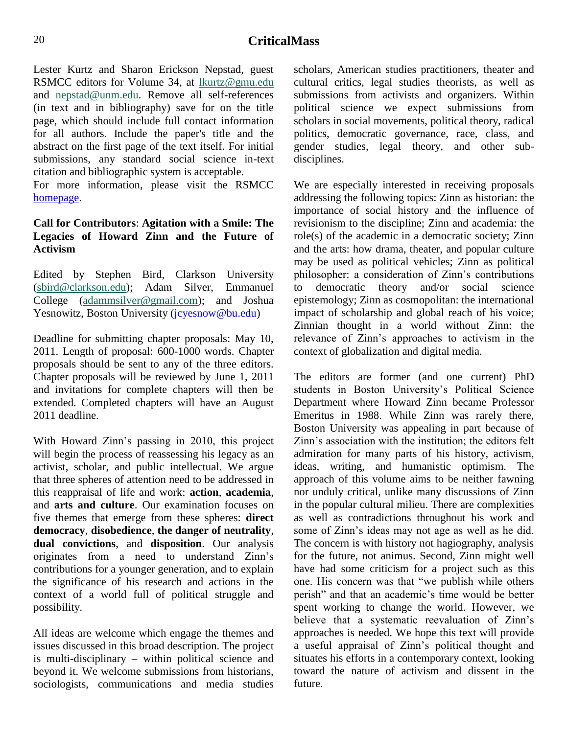Lester Kurtz and Sharon Erickson Nepstad, guest RSMCC editors for Volume 34, at [lkurtz@gmu.edu](mailto:lkurtz@gmu.edu) and [nepstad@unm.edu.](mailto:Nepstad@unm.edu) Remove all self-references (in text and in bibliography) save for on the title page, which should include full contact information for all authors. Include the paper's title and the abstract on the first page of the text itself. For initial submissions, any standard social science in-text citation and bibliographic system is acceptable.

For more information, please visit the RSMCC [homepage.](http://www.emeraldinsight.com/products/books/series.htm?id=0163-786X)

#### **Call for Contributors**: **Agitation with a Smile: The Legacies of Howard Zinn and the Future of Activism**

Edited by Stephen Bird, Clarkson University [\(sbird@clarkson.edu\)](mailto:sbird@clarkson.edu); Adam Silver, Emmanuel College [\(adammsilver@gmail.com\)](mailto:adammsilver@gmail.com); and Joshua Yesnowitz, Boston University (jcyesnow@bu.edu)

Deadline for submitting chapter proposals: May 10, 2011. Length of proposal: 600-1000 words. Chapter proposals should be sent to any of the three editors. Chapter proposals will be reviewed by June 1, 2011 and invitations for complete chapters will then be extended. Completed chapters will have an August 2011 deadline.

With Howard Zinn's passing in 2010, this project will begin the process of reassessing his legacy as an activist, scholar, and public intellectual. We argue that three spheres of attention need to be addressed in this reappraisal of life and work: **action**, **academia**, and **arts and culture**. Our examination focuses on five themes that emerge from these spheres: **direct democracy**, **disobedience**, **the danger of neutrality**, **dual convictions**, and **disposition**. Our analysis originates from a need to understand Zinn's contributions for a younger generation, and to explain the significance of his research and actions in the context of a world full of political struggle and possibility.

All ideas are welcome which engage the themes and issues discussed in this broad description. The project is multi-disciplinary – within political science and beyond it. We welcome submissions from historians, sociologists, communications and media studies scholars, American studies practitioners, theater and cultural critics, legal studies theorists, as well as submissions from activists and organizers. Within political science we expect submissions from scholars in social movements, political theory, radical politics, democratic governance, race, class, and gender studies, legal theory, and other subdisciplines.

We are especially interested in receiving proposals addressing the following topics: Zinn as historian: the importance of social history and the influence of revisionism to the discipline; Zinn and academia: the role(s) of the academic in a democratic society; Zinn and the arts: how drama, theater, and popular culture may be used as political vehicles; Zinn as political philosopher: a consideration of Zinn's contributions to democratic theory and/or social science epistemology; Zinn as cosmopolitan: the international impact of scholarship and global reach of his voice; Zinnian thought in a world without Zinn: the relevance of Zinn's approaches to activism in the context of globalization and digital media.

The editors are former (and one current) PhD students in Boston University's Political Science Department where Howard Zinn became Professor Emeritus in 1988. While Zinn was rarely there, Boston University was appealing in part because of Zinn's association with the institution; the editors felt admiration for many parts of his history, activism, ideas, writing, and humanistic optimism. The approach of this volume aims to be neither fawning nor unduly critical, unlike many discussions of Zinn in the popular cultural milieu. There are complexities as well as contradictions throughout his work and some of Zinn's ideas may not age as well as he did. The concern is with history not hagiography, analysis for the future, not animus. Second, Zinn might well have had some criticism for a project such as this one. His concern was that "we publish while others perish" and that an academic's time would be better spent working to change the world. However, we believe that a systematic reevaluation of Zinn's approaches is needed. We hope this text will provide a useful appraisal of Zinn's political thought and situates his efforts in a contemporary context, looking toward the nature of activism and dissent in the future.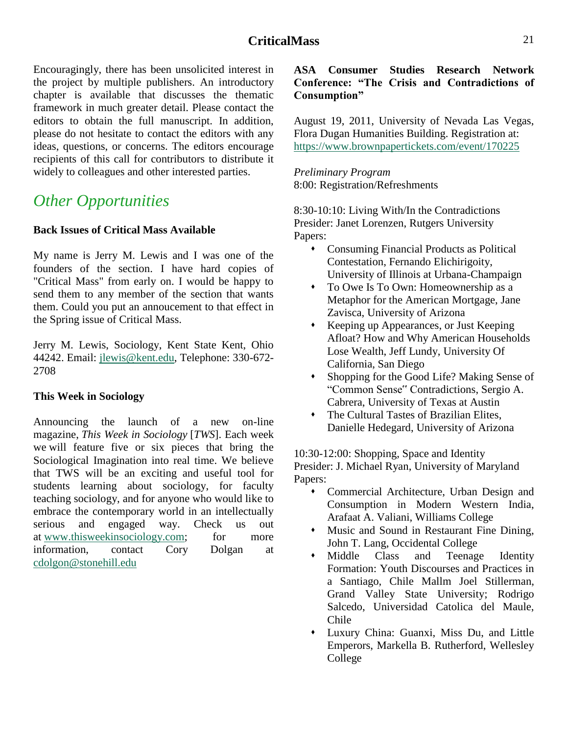Encouragingly, there has been unsolicited interest in the project by multiple publishers. An introductory chapter is available that discusses the thematic framework in much greater detail. Please contact the editors to obtain the full manuscript. In addition, please do not hesitate to contact the editors with any ideas, questions, or concerns. The editors encourage recipients of this call for contributors to distribute it widely to colleagues and other interested parties.

# *Other Opportunities*

#### **Back Issues of Critical Mass Available**

My name is Jerry M. Lewis and I was one of the founders of the section. I have hard copies of "Critical Mass" from early on. I would be happy to send them to any member of the section that wants them. Could you put an annoucement to that effect in the Spring issue of Critical Mass.

Jerry M. Lewis, Sociology, Kent State Kent, Ohio 44242. Email: [jlewis@kent.edu,](mailto:jlewis@kent.edu) Telephone: 330-672- 2708

#### **This Week in Sociology**

Announcing the launch of a new on-line magazine, *This Week in Sociology* [*TWS*]. Each week we will feature five or six pieces that bring the Sociological Imagination into real time. We believe that TWS will be an exciting and useful tool for students learning about sociology, for faculty teaching sociology, and for anyone who would like to embrace the contemporary world in an intellectually serious and engaged way. Check us out at [www.thisweekinsociology.com;](http://www.thisweekinsociology.com/) for more information, contact Cory Dolgan at [cdolgon@stonehill.edu](mailto:cdolgon@stonehill.edu)

#### **ASA Consumer Studies Research Network Conference: ―The Crisis and Contradictions of Consumption‖**

August 19, 2011, University of Nevada Las Vegas, Flora Dugan Humanities Building. Registration at: <https://www.brownpapertickets.com/event/170225>

*Preliminary Program* 8:00: Registration/Refreshments

8:30-10:10: Living With/In the Contradictions Presider: Janet Lorenzen, Rutgers University Papers:

- Consuming Financial Products as Political Contestation, Fernando Elichirigoity, University of Illinois at Urbana-Champaign
- To Owe Is To Own: Homeownership as a Metaphor for the American Mortgage, Jane Zavisca, University of Arizona
- Keeping up Appearances, or Just Keeping Afloat? How and Why American Households Lose Wealth, Jeff Lundy, University Of California, San Diego
- Shopping for the Good Life? Making Sense of ―Common Sense" Contradictions, Sergio A. Cabrera, University of Texas at Austin
- The Cultural Tastes of Brazilian Elites, Danielle Hedegard, University of Arizona

10:30-12:00: Shopping, Space and Identity Presider: J. Michael Ryan, University of Maryland Papers:

- Commercial Architecture, Urban Design and Consumption in Modern Western India, Arafaat A. Valiani, Williams College
- Music and Sound in Restaurant Fine Dining, John T. Lang, Occidental College
- Middle Class and Teenage Identity Formation: Youth Discourses and Practices in a Santiago, Chile Mallm Joel Stillerman, Grand Valley State University; Rodrigo Salcedo, Universidad Catolica del Maule, Chile
- Luxury China: Guanxi, Miss Du, and Little Emperors, Markella B. Rutherford, Wellesley College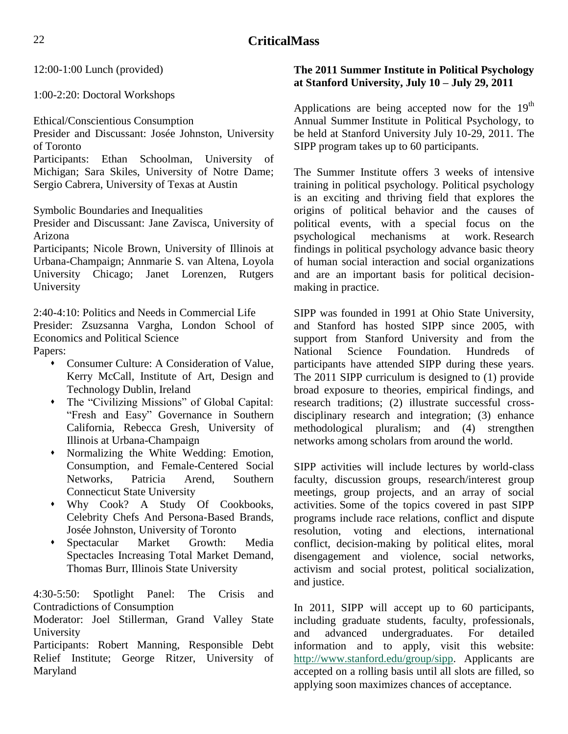12:00-1:00 Lunch (provided)

1:00-2:20: Doctoral Workshops

Ethical/Conscientious Consumption

Presider and Discussant: Josée Johnston, University of Toronto

Participants: Ethan Schoolman, University of Michigan; Sara Skiles, University of Notre Dame; Sergio Cabrera, University of Texas at Austin

Symbolic Boundaries and Inequalities

Presider and Discussant: Jane Zavisca, University of Arizona

Participants; Nicole Brown, University of Illinois at Urbana-Champaign; Annmarie S. van Altena, Loyola University Chicago; Janet Lorenzen, Rutgers University

2:40-4:10: Politics and Needs in Commercial Life Presider: Zsuzsanna Vargha, London School of Economics and Political Science

Papers:

- Consumer Culture: A Consideration of Value, Kerry McCall, Institute of Art, Design and Technology Dublin, Ireland
- The "Civilizing Missions" of Global Capital: "Fresh and Easy" Governance in Southern California, Rebecca Gresh, University of Illinois at Urbana-Champaign
- Normalizing the White Wedding: Emotion, Consumption, and Female-Centered Social Networks, Patricia Arend, Southern Connecticut State University
- Why Cook? A Study Of Cookbooks, Celebrity Chefs And Persona-Based Brands, Josée Johnston, University of Toronto
- Spectacular Market Growth: Media Spectacles Increasing Total Market Demand, Thomas Burr, Illinois State University

4:30-5:50: Spotlight Panel: The Crisis and Contradictions of Consumption

Moderator: Joel Stillerman, Grand Valley State University

Participants: Robert Manning, Responsible Debt Relief Institute; George Ritzer, University of Maryland

#### **The 2011 Summer Institute in Political Psychology at Stanford University, July 10 – July 29, 2011**

Applications are being accepted now for the 19<sup>th</sup> Annual Summer Institute in Political Psychology, to be held at Stanford University July 10-29, 2011. The SIPP program takes up to 60 participants.

The Summer Institute offers 3 weeks of intensive training in political psychology. Political psychology is an exciting and thriving field that explores the origins of political behavior and the causes of political events, with a special focus on the psychological mechanisms at work. Research findings in political psychology advance basic theory of human social interaction and social organizations and are an important basis for political decisionmaking in practice.

SIPP was founded in 1991 at Ohio State University, and Stanford has hosted SIPP since 2005, with support from Stanford University and from the National Science Foundation. Hundreds of participants have attended SIPP during these years. The 2011 SIPP curriculum is designed to (1) provide broad exposure to theories, empirical findings, and research traditions; (2) illustrate successful crossdisciplinary research and integration; (3) enhance methodological pluralism; and (4) strengthen networks among scholars from around the world.

SIPP activities will include lectures by world-class faculty, discussion groups, research/interest group meetings, group projects, and an array of social activities. Some of the topics covered in past SIPP programs include race relations, conflict and dispute resolution, voting and elections, international conflict, decision-making by political elites, moral disengagement and violence, social networks, activism and social protest, political socialization, and justice.

In 2011, SIPP will accept up to 60 participants, including graduate students, faculty, professionals, and advanced undergraduates. For detailed information and to apply, visit this website: [http://www.stanford.edu/group/sipp.](http://www.stanford.edu/group/sipp) Applicants are accepted on a rolling basis until all slots are filled, so applying soon maximizes chances of acceptance.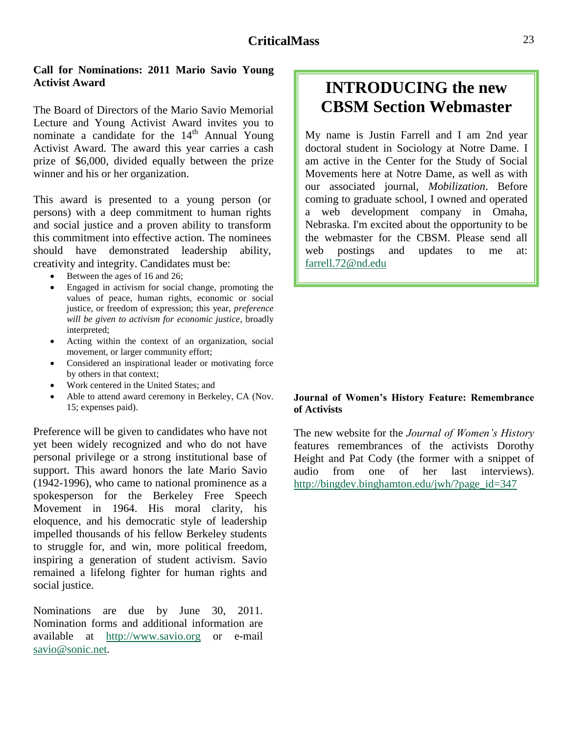#### **Call for Nominations: 2011 Mario Savio Young Activist Award**

The Board of Directors of the Mario Savio Memorial Lecture and Young Activist Award invites you to nominate a candidate for the  $14<sup>th</sup>$  Annual Young Activist Award. The award this year carries a cash prize of \$6,000, divided equally between the prize winner and his or her organization.

This award is presented to a young person (or persons) with a deep commitment to human rights and social justice and a proven ability to transform this commitment into effective action. The nominees should have demonstrated leadership ability, creativity and integrity. Candidates must be:

- Between the ages of 16 and 26;
- Engaged in activism for social change, promoting the values of peace, human rights, economic or social justice, or freedom of expression; this year, *preference will be given to activism for economic justice*, broadly interpreted;
- Acting within the context of an organization, social movement, or larger community effort;
- Considered an inspirational leader or motivating force by others in that context;
- Work centered in the United States; and
- Able to attend award ceremony in Berkeley, CA (Nov. 15; expenses paid).

Preference will be given to candidates who have not yet been widely recognized and who do not have personal privilege or a strong institutional base of support. This award honors the late Mario Savio (1942-1996), who came to national prominence as a spokesperson for the Berkeley Free Speech Movement in 1964. His moral clarity, his eloquence, and his democratic style of leadership impelled thousands of his fellow Berkeley students to struggle for, and win, more political freedom, inspiring a generation of student activism. Savio remained a lifelong fighter for human rights and social justice.

Nominations are due by June 30, 2011. Nomination forms and additional information are available at [http://www.savio.org](http://www.savio.org/) or e-mail [savio@sonic.net.](mailto:savio@sonic.net)

# **INTRODUCING the new CBSM Section Webmaster**

My name is Justin Farrell and I am 2nd year doctoral student in Sociology at Notre Dame. I am active in the Center for the Study of Social Movements here at Notre Dame, as well as with our associated journal, *Mobilization*. Before coming to graduate school, I owned and operated a web development company in Omaha, Nebraska. I'm excited about the opportunity to be the webmaster for the CBSM. Please send all web postings and updates to me at: [farrell.72@nd.edu](mailto:farrell.72@nd.edu)

#### **Journal of Women's History Feature: Remembrance of Activists**

The new website for the *Journal of Women's History* features remembrances of the activists Dorothy Height and Pat Cody (the former with a snippet of audio from one of her last interviews). [http://bingdev.binghamton.edu/jwh/?page\\_id=347](http://bingdev.binghamton.edu/jwh/?page_id=347)